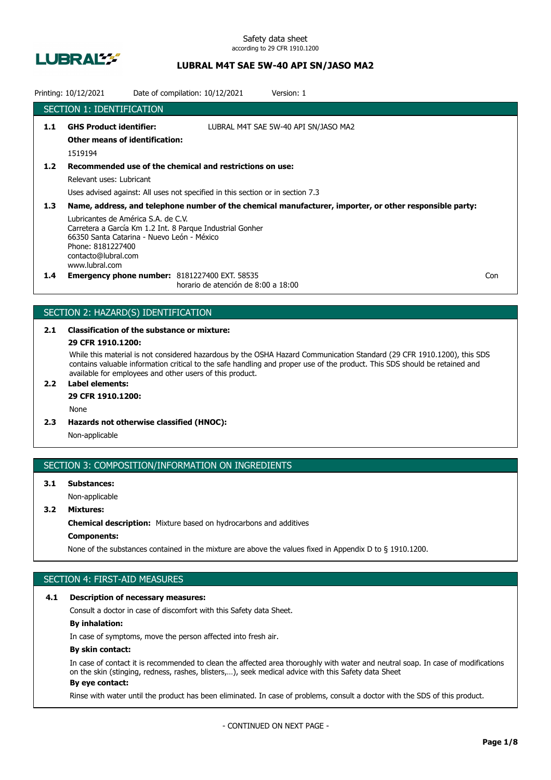

Safety data sheet according to 29 CFR 1910.1200

## **LUBRAL M4T SAE 5W-40 API SN/JASO MA2**

|               | Printing: 10/12/2021                                                                                                                            | Date of compilation: 10/12/2021                                                             | Version: 1                                                                                              |     |
|---------------|-------------------------------------------------------------------------------------------------------------------------------------------------|---------------------------------------------------------------------------------------------|---------------------------------------------------------------------------------------------------------|-----|
|               | <b>SECTION 1: IDENTIFICATION</b>                                                                                                                |                                                                                             |                                                                                                         |     |
| 1.1           | <b>GHS Product identifier:</b><br><b>Other means of identification:</b><br>1519194                                                              |                                                                                             | LUBRAL M4T SAE 5W-40 API SN/JASO MA2                                                                    |     |
| 1.2           |                                                                                                                                                 | Recommended use of the chemical and restrictions on use:                                    |                                                                                                         |     |
|               | Relevant uses: Lubricant                                                                                                                        |                                                                                             |                                                                                                         |     |
|               |                                                                                                                                                 | Uses advised against: All uses not specified in this section or in section 7.3              |                                                                                                         |     |
| 1.3           |                                                                                                                                                 |                                                                                             | Name, address, and telephone number of the chemical manufacturer, importer, or other responsible party: |     |
|               | Lubricantes de América S.A. de C.V.<br>66350 Santa Catarina - Nuevo León - México<br>Phone: 8181227400<br>contacto@lubral.com<br>www.lubral.com | Carretera a García Km 1.2 Int. 8 Parque Industrial Gonher                                   |                                                                                                         |     |
| $1.4^{\circ}$ |                                                                                                                                                 | <b>Emergency phone number: 8181227400 EXT. 58535</b><br>horario de atención de 8:00 a 18:00 |                                                                                                         | Con |

## SECTION 2: HAZARD(S) IDENTIFICATION

# **2.1 Classification of the substance or mixture:**

## **29 CFR 1910.1200:**

While this material is not considered hazardous by the OSHA Hazard Communication Standard (29 CFR 1910.1200), this SDS contains valuable information critical to the safe handling and proper use of the product. This SDS should be retained and available for employees and other users of this product.

## **2.2 Label elements:**

## **29 CFR 1910.1200:**

None

**2.3 Hazards not otherwise classified (HNOC):**

Non-applicable

### SECTION 3: COMPOSITION/INFORMATION ON INGREDIENTS

## **3.1 Substances:** Non-applicable

## **3.2 Mixtures:**

**Chemical description:** Mixture based on hydrocarbons and additives

## **Components:**

None of the substances contained in the mixture are above the values fixed in Appendix D to § 1910.1200.

## SECTION 4: FIRST-AID MEASURES

### **4.1 Description of necessary measures:**

Consult a doctor in case of discomfort with this Safety data Sheet.

### **By inhalation:**

In case of symptoms, move the person affected into fresh air.

### **By skin contact:**

In case of contact it is recommended to clean the affected area thoroughly with water and neutral soap. In case of modifications on the skin (stinging, redness, rashes, blisters,…), seek medical advice with this Safety data Sheet **By eye contact:**

### Rinse with water until the product has been eliminated. In case of problems, consult a doctor with the SDS of this product.

- CONTINUED ON NEXT PAGE -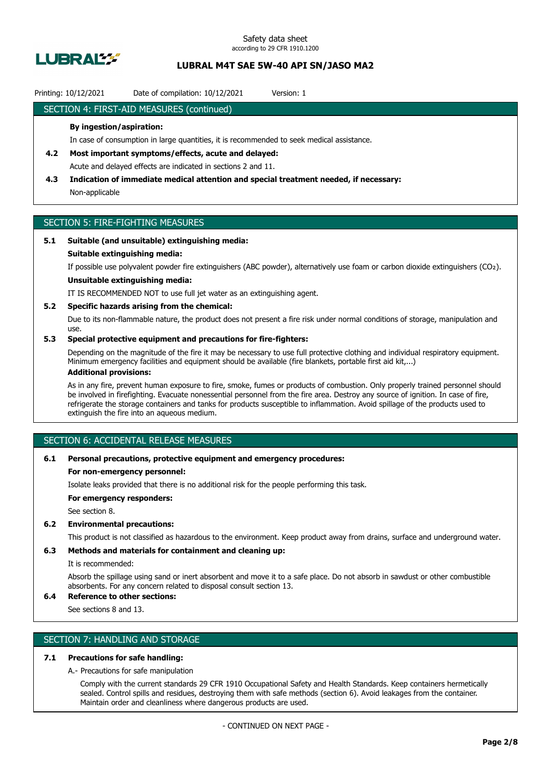

### Printing: 10/12/2021 Date of compilation: 10/12/2021 Version: 1

### SECTION 4: FIRST-AID MEASURES (continued)

### **By ingestion/aspiration:**

In case of consumption in large quantities, it is recommended to seek medical assistance.

- **4.2 Most important symptoms/effects, acute and delayed:** Acute and delayed effects are indicated in sections 2 and 11.
- **4.3 Indication of immediate medical attention and special treatment needed, if necessary:** Non-applicable

## SECTION 5: FIRE-FIGHTING MEASURES

### **5.1 Suitable (and unsuitable) extinguishing media:**

#### **Suitable extinguishing media:**

If possible use polyvalent powder fire extinguishers (ABC powder), alternatively use foam or carbon dioxide extinguishers (CO₂).

## **Unsuitable extinguishing media:**

IT IS RECOMMENDED NOT to use full jet water as an extinguishing agent.

#### **5.2 Specific hazards arising from the chemical:**

Due to its non-flammable nature, the product does not present a fire risk under normal conditions of storage, manipulation and use.

### **5.3 Special protective equipment and precautions for fire-fighters:**

Depending on the magnitude of the fire it may be necessary to use full protective clothing and individual respiratory equipment. Minimum emergency facilities and equipment should be available (fire blankets, portable first aid kit,...)

## **Additional provisions:**

As in any fire, prevent human exposure to fire, smoke, fumes or products of combustion. Only properly trained personnel should be involved in firefighting. Evacuate nonessential personnel from the fire area. Destroy any source of ignition. In case of fire, refrigerate the storage containers and tanks for products susceptible to inflammation. Avoid spillage of the products used to extinguish the fire into an aqueous medium.

## SECTION 6: ACCIDENTAL RELEASE MEASURES

#### **6.1 Personal precautions, protective equipment and emergency procedures:**

#### **For non-emergency personnel:**

Isolate leaks provided that there is no additional risk for the people performing this task.

**For emergency responders:**

See section 8.

### **6.2 Environmental precautions:**

This product is not classified as hazardous to the environment. Keep product away from drains, surface and underground water.

### **6.3 Methods and materials for containment and cleaning up:**

It is recommended:

Absorb the spillage using sand or inert absorbent and move it to a safe place. Do not absorb in sawdust or other combustible absorbents. For any concern related to disposal consult section 13.

## **6.4 Reference to other sections:**

See sections 8 and 13.

## SECTION 7: HANDLING AND STORAGE

### **7.1 Precautions for safe handling:**

A.- Precautions for safe manipulation

Comply with the current standards 29 CFR 1910 Occupational Safety and Health Standards. Keep containers hermetically sealed. Control spills and residues, destroying them with safe methods (section 6). Avoid leakages from the container. Maintain order and cleanliness where dangerous products are used.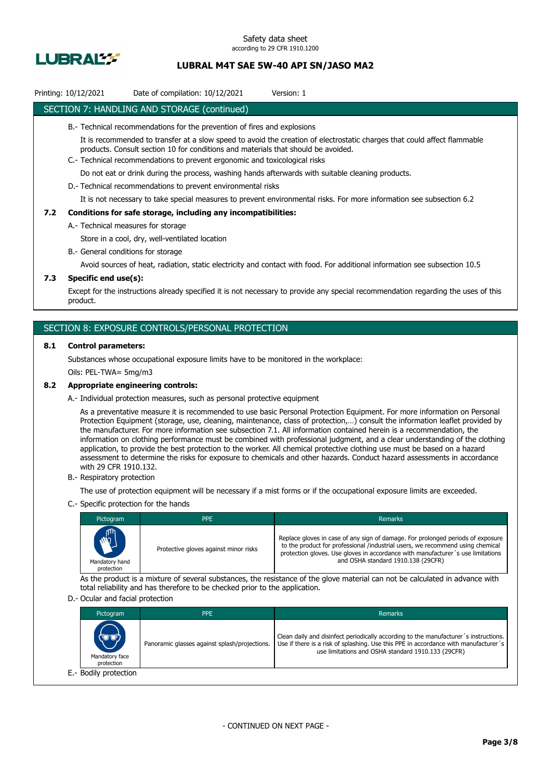

## Printing: 10/12/2021 Date of compilation: 10/12/2021 Version: 1

### SECTION 7: HANDLING AND STORAGE (continued)

- B.- Technical recommendations for the prevention of fires and explosions
	- It is recommended to transfer at a slow speed to avoid the creation of electrostatic charges that could affect flammable products. Consult section 10 for conditions and materials that should be avoided.
- C.- Technical recommendations to prevent ergonomic and toxicological risks

Do not eat or drink during the process, washing hands afterwards with suitable cleaning products.

D.- Technical recommendations to prevent environmental risks

It is not necessary to take special measures to prevent environmental risks. For more information see subsection 6.2

#### **7.2 Conditions for safe storage, including any incompatibilities:**

A.- Technical measures for storage

Store in a cool, dry, well-ventilated location

B.- General conditions for storage

Avoid sources of heat, radiation, static electricity and contact with food. For additional information see subsection 10.5

### **7.3 Specific end use(s):**

Except for the instructions already specified it is not necessary to provide any special recommendation regarding the uses of this product.

### SECTION 8: EXPOSURE CONTROLS/PERSONAL PROTECTION

#### **8.1 Control parameters:**

Substances whose occupational exposure limits have to be monitored in the workplace:

Oils: PEL-TWA= 5mg/m3

### **8.2 Appropriate engineering controls:**

A.- Individual protection measures, such as personal protective equipment

As a preventative measure it is recommended to use basic Personal Protection Equipment. For more information on Personal Protection Equipment (storage, use, cleaning, maintenance, class of protection,…) consult the information leaflet provided by the manufacturer. For more information see subsection 7.1. All information contained herein is a recommendation, the information on clothing performance must be combined with professional judgment, and a clear understanding of the clothing application, to provide the best protection to the worker. All chemical protective clothing use must be based on a hazard assessment to determine the risks for exposure to chemicals and other hazards. Conduct hazard assessments in accordance with 29 CFR 1910.132.

B.- Respiratory protection

The use of protection equipment will be necessary if a mist forms or if the occupational exposure limits are exceeded.

C.- Specific protection for the hands

| Pictogram                            | <b>PPE</b>                            | Remarks                                                                                                                                                                                                                                                                                    |
|--------------------------------------|---------------------------------------|--------------------------------------------------------------------------------------------------------------------------------------------------------------------------------------------------------------------------------------------------------------------------------------------|
| MAIL<br>Mandatory hand<br>protection | Protective gloves against minor risks | Replace gloves in case of any sign of damage. For prolonged periods of exposure<br>to the product for professional /industrial users, we recommend using chemical<br>protection gloves. Use gloves in accordance with manufacturer's use limitations<br>and OSHA standard 1910.138 (29CFR) |

As the product is a mixture of several substances, the resistance of the glove material can not be calculated in advance with total reliability and has therefore to be checked prior to the application.

#### D.- Ocular and facial protection

| Pictogram                             | <b>PPE</b>                                    | Remarks                                                                                                                                                                                                                           |
|---------------------------------------|-----------------------------------------------|-----------------------------------------------------------------------------------------------------------------------------------------------------------------------------------------------------------------------------------|
| (U'U)<br>Mandatory face<br>protection | Panoramic glasses against splash/projections. | Clean daily and disinfect periodically according to the manufacturer's instructions.<br>Use if there is a risk of splashing. Use this PPE in accordance with manufacturer's<br>use limitations and OSHA standard 1910.133 (29CFR) |
| E.- Bodily protection                 |                                               |                                                                                                                                                                                                                                   |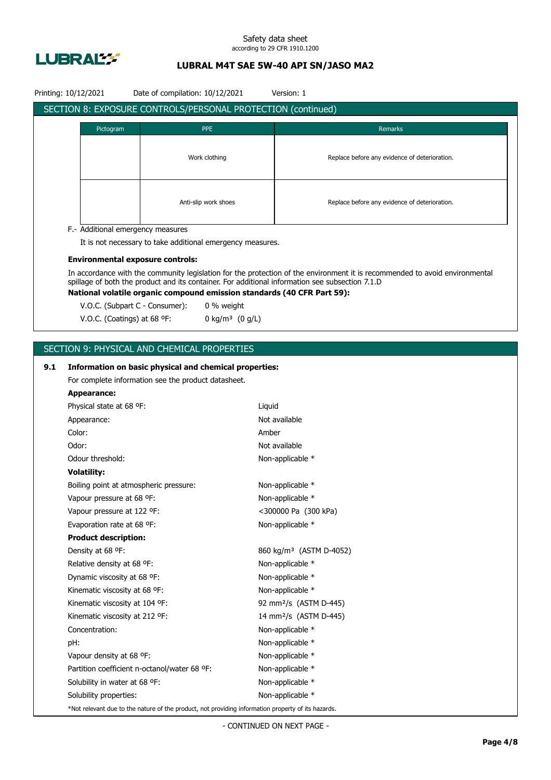

#### Safety data sheet according to 29 CFR 1910.1200

## **LUBRAL M4T SAE 5W-40 API SN/JASO MA2**

|     | Printing: 10/12/2021                    | Date of compilation: 10/12/2021                                                                    |        | Version: 1                                                                                                                  |
|-----|-----------------------------------------|----------------------------------------------------------------------------------------------------|--------|-----------------------------------------------------------------------------------------------------------------------------|
|     |                                         | SECTION 8: EXPOSURE CONTROLS/PERSONAL PROTECTION (continued)                                       |        |                                                                                                                             |
|     |                                         |                                                                                                    |        |                                                                                                                             |
|     | Pictogram                               | <b>PPE</b>                                                                                         |        | Remarks                                                                                                                     |
|     |                                         |                                                                                                    |        |                                                                                                                             |
|     |                                         | Work clothing                                                                                      |        | Replace before any evidence of deterioration.                                                                               |
|     |                                         |                                                                                                    |        |                                                                                                                             |
|     |                                         |                                                                                                    |        |                                                                                                                             |
|     | Anti-slip work shoes                    |                                                                                                    |        | Replace before any evidence of deterioration.                                                                               |
|     |                                         |                                                                                                    |        |                                                                                                                             |
|     | F.- Additional emergency measures       |                                                                                                    |        |                                                                                                                             |
|     |                                         | It is not necessary to take additional emergency measures.                                         |        |                                                                                                                             |
|     | <b>Environmental exposure controls:</b> |                                                                                                    |        |                                                                                                                             |
|     |                                         |                                                                                                    |        | In accordance with the community legislation for the protection of the environment it is recommended to avoid environmental |
|     |                                         |                                                                                                    |        | spillage of both the product and its container. For additional information see subsection 7.1.D                             |
|     |                                         | National volatile organic compound emission standards (40 CFR Part 59):                            |        |                                                                                                                             |
|     | V.O.C. (Subpart C - Consumer):          | 0 % weight                                                                                         |        |                                                                                                                             |
|     | V.O.C. (Coatings) at 68 °F:             | 0 kg/m <sup>3</sup> $(0 g/L)$                                                                      |        |                                                                                                                             |
|     |                                         |                                                                                                    |        |                                                                                                                             |
|     |                                         | SECTION 9: PHYSICAL AND CHEMICAL PROPERTIES                                                        |        |                                                                                                                             |
| 9.1 |                                         | Information on basic physical and chemical properties:                                             |        |                                                                                                                             |
|     |                                         | For complete information see the product datasheet.                                                |        |                                                                                                                             |
|     | <b>Appearance:</b>                      |                                                                                                    |        |                                                                                                                             |
|     | Physical state at 68 °F:                |                                                                                                    | Liquid |                                                                                                                             |
|     | Appearance:                             |                                                                                                    |        | Not available                                                                                                               |
|     | Color:                                  |                                                                                                    | Amber  |                                                                                                                             |
|     | Odor:                                   |                                                                                                    |        | Not available                                                                                                               |
|     | Odour threshold:                        |                                                                                                    |        | Non-applicable *                                                                                                            |
|     | <b>Volatility:</b>                      |                                                                                                    |        |                                                                                                                             |
|     | Boiling point at atmospheric pressure:  |                                                                                                    |        | Non-applicable *                                                                                                            |
|     | Vapour pressure at 68 °F:               |                                                                                                    |        | Non-applicable *                                                                                                            |
|     | Vapour pressure at 122 °F:              |                                                                                                    |        | <300000 Pa (300 kPa)                                                                                                        |
|     | Evaporation rate at 68 °F:              |                                                                                                    |        | Non-applicable *                                                                                                            |
|     | <b>Product description:</b>             |                                                                                                    |        |                                                                                                                             |
|     | Density at 68 °F:                       |                                                                                                    |        | 860 kg/m <sup>3</sup> (ASTM D-4052)                                                                                         |
|     | Relative density at 68 °F:              |                                                                                                    |        | Non-applicable *                                                                                                            |
|     | Dynamic viscosity at 68 °F:             |                                                                                                    |        | Non-applicable *                                                                                                            |
|     | Kinematic viscosity at 68 °F:           |                                                                                                    |        | Non-applicable *                                                                                                            |
|     | Kinematic viscosity at 104 °F:          |                                                                                                    |        | 92 mm <sup>2</sup> /s (ASTM D-445)                                                                                          |
|     | Kinematic viscosity at 212 °F:          |                                                                                                    |        | 14 mm <sup>2</sup> /s (ASTM D-445)                                                                                          |
|     | Concentration:                          |                                                                                                    |        | Non-applicable *                                                                                                            |
|     | pH:                                     |                                                                                                    |        | Non-applicable *                                                                                                            |
|     | Vapour density at 68 °F:                |                                                                                                    |        | Non-applicable *                                                                                                            |
|     |                                         | Partition coefficient n-octanol/water 68 °F:                                                       |        | Non-applicable *                                                                                                            |
|     | Solubility in water at 68 °F:           |                                                                                                    |        | Non-applicable *                                                                                                            |
|     | Solubility properties:                  |                                                                                                    |        | Non-applicable *                                                                                                            |
|     |                                         | *Not relevant due to the nature of the product, not providing information property of its hazards. |        |                                                                                                                             |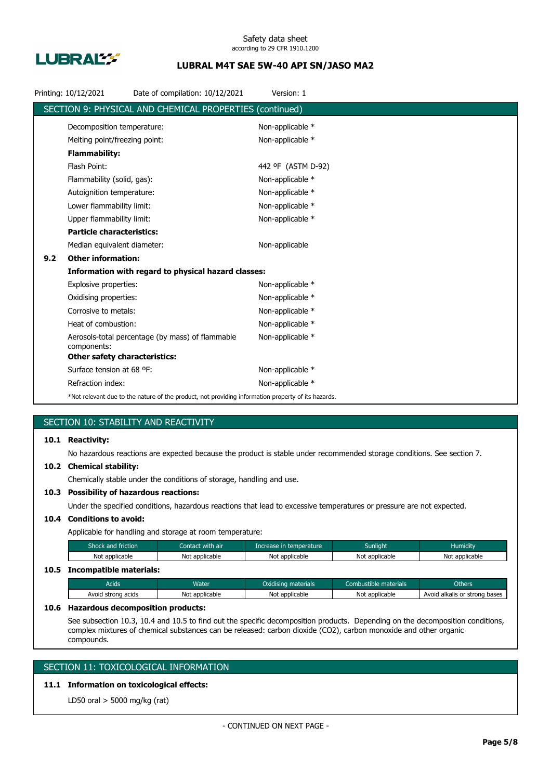

|     | Printing: 10/12/2021                 | Date of compilation: 10/12/2021                                                                    | Version: 1         |
|-----|--------------------------------------|----------------------------------------------------------------------------------------------------|--------------------|
|     |                                      | SECTION 9: PHYSICAL AND CHEMICAL PROPERTIES (continued)                                            |                    |
|     | Decomposition temperature:           |                                                                                                    | Non-applicable *   |
|     | Melting point/freezing point:        |                                                                                                    | Non-applicable *   |
|     | <b>Flammability:</b>                 |                                                                                                    |                    |
|     | Flash Point:                         |                                                                                                    | 442 °F (ASTM D-92) |
|     | Flammability (solid, gas):           |                                                                                                    | Non-applicable *   |
|     | Autoignition temperature:            |                                                                                                    | Non-applicable *   |
|     | Lower flammability limit:            |                                                                                                    | Non-applicable *   |
|     | Upper flammability limit:            |                                                                                                    | Non-applicable *   |
|     | <b>Particle characteristics:</b>     |                                                                                                    |                    |
|     | Median equivalent diameter:          |                                                                                                    | Non-applicable     |
| 9.2 | <b>Other information:</b>            |                                                                                                    |                    |
|     |                                      | Information with regard to physical hazard classes:                                                |                    |
|     | Explosive properties:                |                                                                                                    | Non-applicable *   |
|     | Oxidising properties:                |                                                                                                    | Non-applicable *   |
|     | Corrosive to metals:                 |                                                                                                    | Non-applicable *   |
|     | Heat of combustion:                  |                                                                                                    | Non-applicable *   |
|     | components:                          | Aerosols-total percentage (by mass) of flammable                                                   | Non-applicable *   |
|     | <b>Other safety characteristics:</b> |                                                                                                    |                    |
|     | Surface tension at 68 °F:            |                                                                                                    | Non-applicable *   |
|     | Refraction index:                    |                                                                                                    | Non-applicable *   |
|     |                                      | *Not relevant due to the nature of the product, not providing information property of its hazards. |                    |

## SECTION 10: STABILITY AND REACTIVITY

## **10.1 Reactivity:**

No hazardous reactions are expected because the product is stable under recommended storage conditions. See section 7.

#### **10.2 Chemical stability:**

Chemically stable under the conditions of storage, handling and use.

## **10.3 Possibility of hazardous reactions:**

Under the specified conditions, hazardous reactions that lead to excessive temperatures or pressure are not expected.

## **10.4 Conditions to avoid:**

Applicable for handling and storage at room temperature:

| Shock and friction           | Contact with air | Increase in temperature | <b>Sunlight</b> | <b>Humidity</b> |
|------------------------------|------------------|-------------------------|-----------------|-----------------|
| Not applicable               | Not applicable   | Not applicable          | Not applicable  | Not applicable  |
| 10.5 Incompatible materials: |                  |                         |                 |                 |

## Acids **Water Water Combustible materials** Combustible materials Combustible materials Combustible materials Avoid strong acids Not applicable Not applicable Not applicable Not applicable Avoid alkalis or strong bases

#### **10.6 Hazardous decomposition products:**

See subsection 10.3, 10.4 and 10.5 to find out the specific decomposition products. Depending on the decomposition conditions, complex mixtures of chemical substances can be released: carbon dioxide (CO2), carbon monoxide and other organic compounds.

## SECTION 11: TOXICOLOGICAL INFORMATION

## **11.1 Information on toxicological effects:**

LD50 oral > 5000 mg/kg (rat)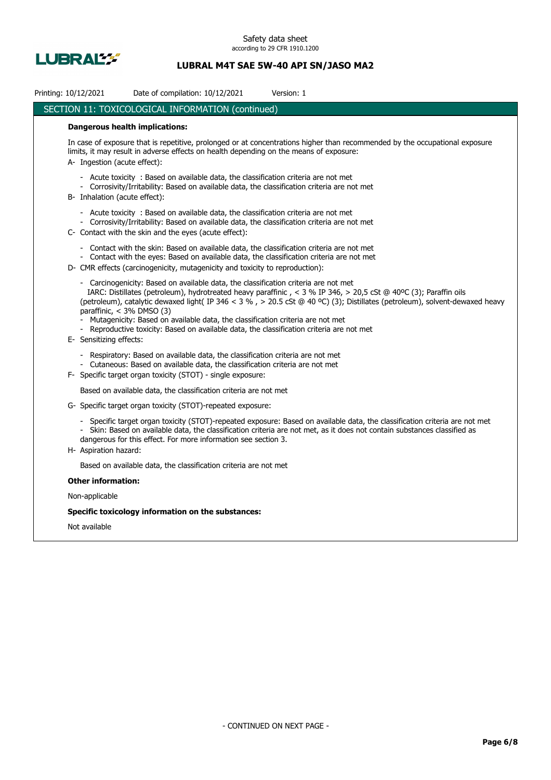

| Printing: 10/12/2021                                   | Date of compilation: 10/12/2021                                                                                                                                                                                                                                        | Version: 1                                                                                                                                                                                                                                               |
|--------------------------------------------------------|------------------------------------------------------------------------------------------------------------------------------------------------------------------------------------------------------------------------------------------------------------------------|----------------------------------------------------------------------------------------------------------------------------------------------------------------------------------------------------------------------------------------------------------|
|                                                        | SECTION 11: TOXICOLOGICAL INFORMATION (continued)                                                                                                                                                                                                                      |                                                                                                                                                                                                                                                          |
| <b>Dangerous health implications:</b>                  |                                                                                                                                                                                                                                                                        |                                                                                                                                                                                                                                                          |
| A- Ingestion (acute effect):                           | limits, it may result in adverse effects on health depending on the means of exposure:                                                                                                                                                                                 | In case of exposure that is repetitive, prolonged or at concentrations higher than recommended by the occupational exposure                                                                                                                              |
| B- Inhalation (acute effect):                          | - Acute toxicity: Based on available data, the classification criteria are not met<br>- Corrosivity/Irritability: Based on available data, the classification criteria are not met                                                                                     |                                                                                                                                                                                                                                                          |
|                                                        | - Acute toxicity : Based on available data, the classification criteria are not met<br>- Corrosivity/Irritability: Based on available data, the classification criteria are not met<br>C- Contact with the skin and the eyes (acute effect):                           |                                                                                                                                                                                                                                                          |
|                                                        | - Contact with the skin: Based on available data, the classification criteria are not met<br>- Contact with the eyes: Based on available data, the classification criteria are not met<br>D- CMR effects (carcinogenicity, mutagenicity and toxicity to reproduction): |                                                                                                                                                                                                                                                          |
| paraffinic, $<$ 3% DMSO (3)<br>E- Sensitizing effects: | - Carcinogenicity: Based on available data, the classification criteria are not met<br>- Mutagenicity: Based on available data, the classification criteria are not met<br>- Reproductive toxicity: Based on available data, the classification criteria are not met   | IARC: Distillates (petroleum), hydrotreated heavy paraffinic, < 3 % IP 346, > 20,5 cSt @ 40°C (3); Paraffin oils<br>(petroleum), catalytic dewaxed light(IP 346 < 3 %, > 20.5 cSt @ 40 °C) (3); Distillates (petroleum), solvent-dewaxed heavy           |
|                                                        | - Respiratory: Based on available data, the classification criteria are not met<br>- Cutaneous: Based on available data, the classification criteria are not met<br>F- Specific target organ toxicity (STOT) - single exposure:                                        |                                                                                                                                                                                                                                                          |
|                                                        | Based on available data, the classification criteria are not met                                                                                                                                                                                                       |                                                                                                                                                                                                                                                          |
|                                                        | G- Specific target organ toxicity (STOT)-repeated exposure:                                                                                                                                                                                                            |                                                                                                                                                                                                                                                          |
| H- Aspiration hazard:                                  | dangerous for this effect. For more information see section 3.                                                                                                                                                                                                         | - Specific target organ toxicity (STOT)-repeated exposure: Based on available data, the classification criteria are not met<br>- Skin: Based on available data, the classification criteria are not met, as it does not contain substances classified as |
|                                                        | Based on available data, the classification criteria are not met                                                                                                                                                                                                       |                                                                                                                                                                                                                                                          |
| <b>Other information:</b>                              |                                                                                                                                                                                                                                                                        |                                                                                                                                                                                                                                                          |
| Non-applicable                                         |                                                                                                                                                                                                                                                                        |                                                                                                                                                                                                                                                          |
|                                                        | Specific toxicology information on the substances:                                                                                                                                                                                                                     |                                                                                                                                                                                                                                                          |
| Not available                                          |                                                                                                                                                                                                                                                                        |                                                                                                                                                                                                                                                          |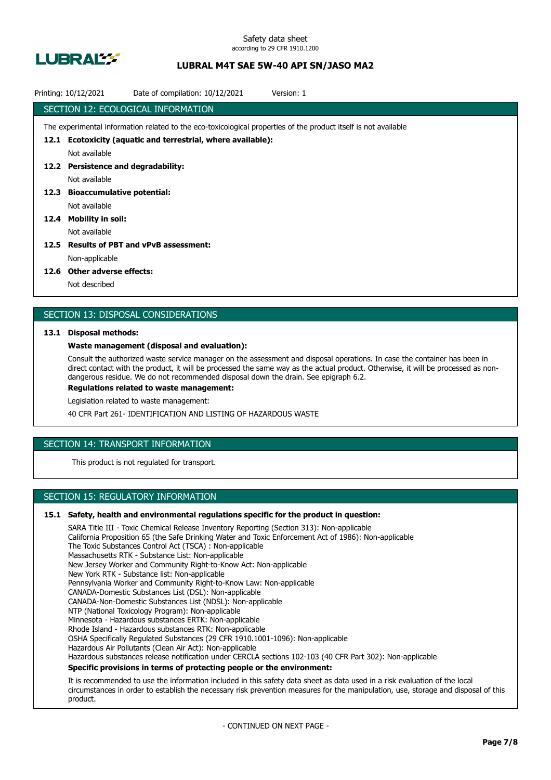

| Date of compilation: 10/12/2021<br>Printing: 10/12/2021<br>Version: 1                                           |
|-----------------------------------------------------------------------------------------------------------------|
| SECTION 12: ECOLOGICAL INFORMATION                                                                              |
| The experimental information related to the eco-toxicological properties of the product itself is not available |
| 12.1 Ecotoxicity (aquatic and terrestrial, where available):                                                    |
| Not available                                                                                                   |
| 12.2 Persistence and degradability:                                                                             |
| Not available                                                                                                   |
| 12.3 Bioaccumulative potential:                                                                                 |
| Not available                                                                                                   |
| 12.4 Mobility in soil:                                                                                          |
| Not available                                                                                                   |
| 12.5 Results of PBT and vPvB assessment:                                                                        |
| Non-applicable                                                                                                  |
| $136$ C Other reduces offerting                                                                                 |

#### **12.6 Other adverse effects:**

Not described

## SECTION 13: DISPOSAL CONSIDERATIONS

### **13.1 Disposal methods:**

### **Waste management (disposal and evaluation):**

Consult the authorized waste service manager on the assessment and disposal operations. In case the container has been in direct contact with the product, it will be processed the same way as the actual product. Otherwise, it will be processed as nondangerous residue. We do not recommended disposal down the drain. See epigraph 6.2.

**Regulations related to waste management:**

Legislation related to waste management:

40 CFR Part 261- IDENTIFICATION AND LISTING OF HAZARDOUS WASTE

## SECTION 14: TRANSPORT INFORMATION

This product is not regulated for transport.

## SECTION 15: REGULATORY INFORMATION

### **15.1 Safety, health and environmental regulations specific for the product in question:**

SARA Title III - Toxic Chemical Release Inventory Reporting (Section 313): Non-applicable California Proposition 65 (the Safe Drinking Water and Toxic Enforcement Act of 1986): Non-applicable The Toxic Substances Control Act (TSCA) : Non-applicable Massachusetts RTK - Substance List: Non-applicable New Jersey Worker and Community Right-to-Know Act: Non-applicable New York RTK - Substance list: Non-applicable Pennsylvania Worker and Community Right-to-Know Law: Non-applicable CANADA-Domestic Substances List (DSL): Non-applicable CANADA-Non-Domestic Substances List (NDSL): Non-applicable NTP (National Toxicology Program): Non-applicable Minnesota - Hazardous substances ERTK: Non-applicable Rhode Island - Hazardous substances RTK: Non-applicable OSHA Specifically Regulated Substances (29 CFR 1910.1001-1096): Non-applicable Hazardous Air Pollutants (Clean Air Act): Non-applicable Hazardous substances release notification under CERCLA sections 102-103 (40 CFR Part 302): Non-applicable **Specific provisions in terms of protecting people or the environment:**

It is recommended to use the information included in this safety data sheet as data used in a risk evaluation of the local circumstances in order to establish the necessary risk prevention measures for the manipulation, use, storage and disposal of this product.

- CONTINUED ON NEXT PAGE -